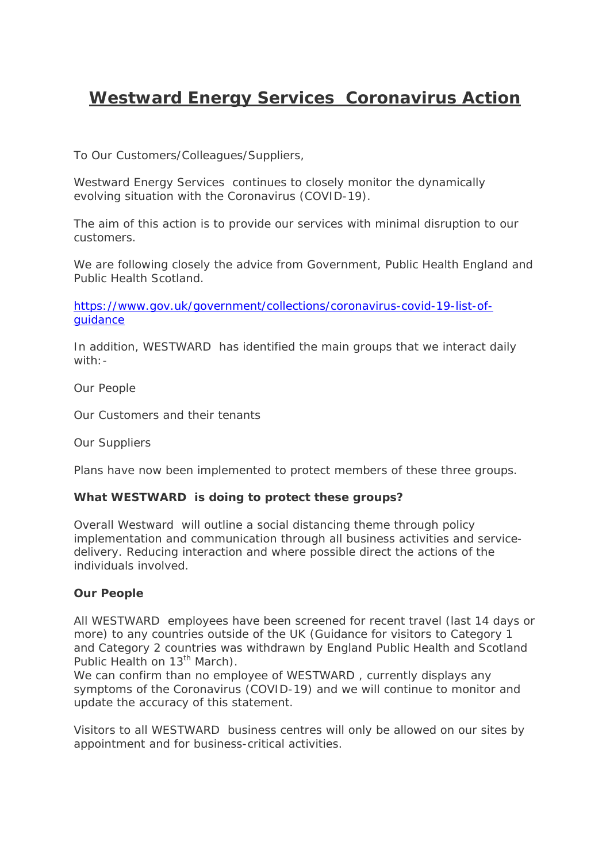# **Westward Energy Services Coronavirus Action**

To Our Customers/Colleagues/Suppliers,

Westward Energy Services continues to closely monitor the dynamically evolving situation with the Coronavirus (COVID-19).

The aim of this action is to provide our services with minimal disruption to our customers.

We are following closely the advice from Government, Public Health England and Public Health Scotland.

https://www.gov.uk/government/collections/coronavirus-covid-19-list-ofguidance

In addition, WESTWARD has identified the main groups that we interact daily with:-

Our People

Our Customers and their tenants

Our Suppliers

Plans have now been implemented to protect members of these three groups.

## **What WESTWARD is doing to protect these groups?**

Overall Westward will outline a social distancing theme through policy implementation and communication through all business activities and servicedelivery. Reducing interaction and where possible direct the actions of the individuals involved.

## **Our People**

All WESTWARD employees have been screened for recent travel (last 14 days or more) to any countries outside of the UK (Guidance for visitors to Category 1 and Category 2 countries was withdrawn by England Public Health and Scotland Public Health on 13<sup>th</sup> March).

We can confirm than no employee of WESTWARD, currently displays any symptoms of the Coronavirus (COVID-19) and we will continue to monitor and update the accuracy of this statement.

Visitors to all WESTWARD business centres will only be allowed on our sites by appointment and for business-critical activities.